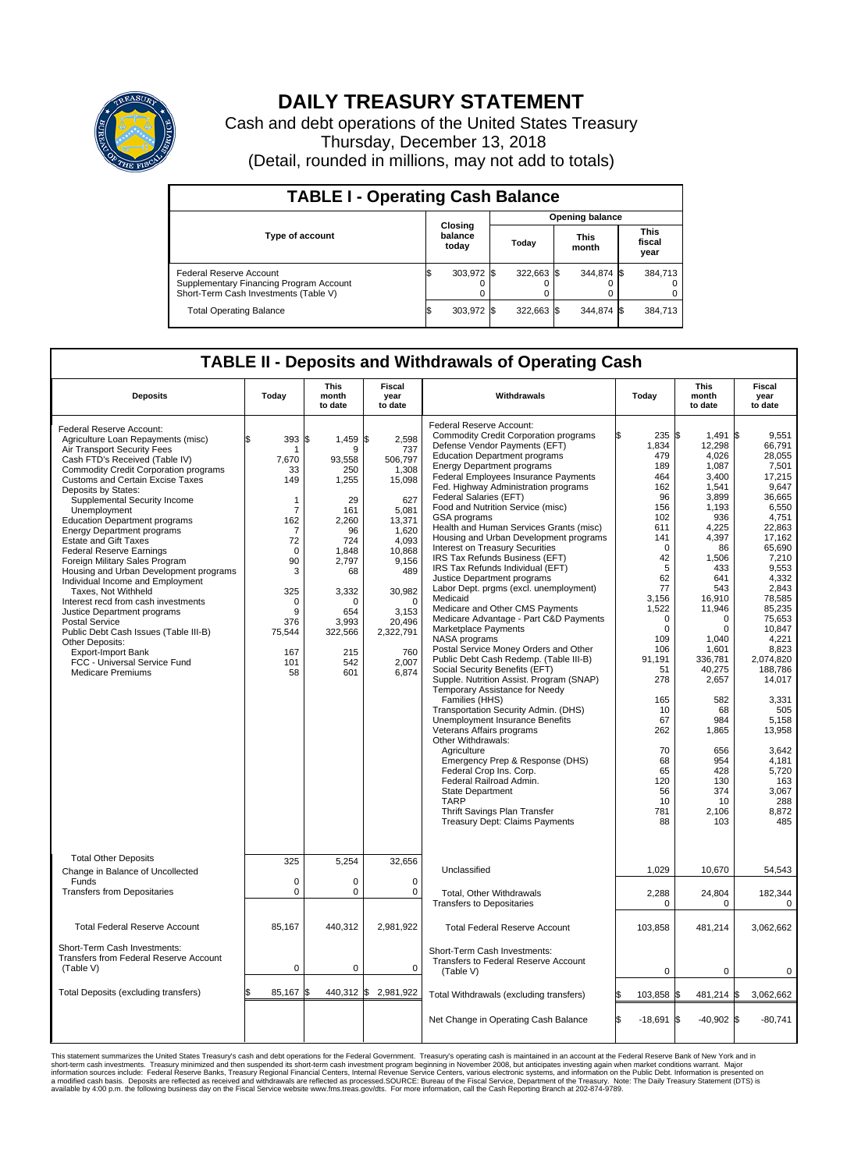

## **DAILY TREASURY STATEMENT**

Cash and debt operations of the United States Treasury Thursday, December 13, 2018 (Detail, rounded in millions, may not add to totals)

| <b>TABLE I - Operating Cash Balance</b>                                                                     |  |                             |  |                        |  |                      |  |                               |  |  |  |
|-------------------------------------------------------------------------------------------------------------|--|-----------------------------|--|------------------------|--|----------------------|--|-------------------------------|--|--|--|
|                                                                                                             |  |                             |  | <b>Opening balance</b> |  |                      |  |                               |  |  |  |
| <b>Type of account</b>                                                                                      |  | Closing<br>balance<br>today |  | Today                  |  | <b>This</b><br>month |  | <b>This</b><br>fiscal<br>year |  |  |  |
| Federal Reserve Account<br>Supplementary Financing Program Account<br>Short-Term Cash Investments (Table V) |  | 303,972                     |  | $322.663$ \$           |  | 344.874 \$           |  | 384,713                       |  |  |  |
| <b>Total Operating Balance</b>                                                                              |  | 303,972 \$                  |  | 322.663 \$             |  | 344,874 \$           |  | 384,713                       |  |  |  |

## **TABLE II - Deposits and Withdrawals of Operating Cash**

| <b>Deposits</b>                                                                                                                                                                                                                                                                                                                                                                                                                                                                                                                                                                                                                                                                                                                                                                                                                       | Today                                                                                                                                                                                  | This<br>month<br>to date                                                                                                                                             | Fiscal<br>year<br>to date                                                                                                                                                                             | Withdrawals                                                                                                                                                                                                                                                                                                                                                                                                                                                                                                                                                                                                                                                                                                                                                                                                                                                                                                                                                                                                                                                                                                                                                                                                                                                                                                                           | Today                                                                                                                                                                                                                                                                              | This<br>month<br>to date                                                                                                                                                                                                                                                                                         | <b>Fiscal</b><br>year<br>to date                                                                                                                                                                                                                                                                                                                            |
|---------------------------------------------------------------------------------------------------------------------------------------------------------------------------------------------------------------------------------------------------------------------------------------------------------------------------------------------------------------------------------------------------------------------------------------------------------------------------------------------------------------------------------------------------------------------------------------------------------------------------------------------------------------------------------------------------------------------------------------------------------------------------------------------------------------------------------------|----------------------------------------------------------------------------------------------------------------------------------------------------------------------------------------|----------------------------------------------------------------------------------------------------------------------------------------------------------------------|-------------------------------------------------------------------------------------------------------------------------------------------------------------------------------------------------------|---------------------------------------------------------------------------------------------------------------------------------------------------------------------------------------------------------------------------------------------------------------------------------------------------------------------------------------------------------------------------------------------------------------------------------------------------------------------------------------------------------------------------------------------------------------------------------------------------------------------------------------------------------------------------------------------------------------------------------------------------------------------------------------------------------------------------------------------------------------------------------------------------------------------------------------------------------------------------------------------------------------------------------------------------------------------------------------------------------------------------------------------------------------------------------------------------------------------------------------------------------------------------------------------------------------------------------------|------------------------------------------------------------------------------------------------------------------------------------------------------------------------------------------------------------------------------------------------------------------------------------|------------------------------------------------------------------------------------------------------------------------------------------------------------------------------------------------------------------------------------------------------------------------------------------------------------------|-------------------------------------------------------------------------------------------------------------------------------------------------------------------------------------------------------------------------------------------------------------------------------------------------------------------------------------------------------------|
| Federal Reserve Account:<br>Agriculture Loan Repayments (misc)<br>Air Transport Security Fees<br>Cash FTD's Received (Table IV)<br>Commodity Credit Corporation programs<br><b>Customs and Certain Excise Taxes</b><br>Deposits by States:<br>Supplemental Security Income<br>Unemployment<br><b>Education Department programs</b><br><b>Energy Department programs</b><br><b>Estate and Gift Taxes</b><br><b>Federal Reserve Earnings</b><br>Foreign Military Sales Program<br>Housing and Urban Development programs<br>Individual Income and Employment<br>Taxes. Not Withheld<br>Interest recd from cash investments<br>Justice Department programs<br><b>Postal Service</b><br>Public Debt Cash Issues (Table III-B)<br>Other Deposits:<br><b>Export-Import Bank</b><br>FCC - Universal Service Fund<br><b>Medicare Premiums</b> | \$<br>393<br>-1<br>7,670<br>33<br>149<br>$\mathbf{1}$<br>$\overline{7}$<br>162<br>$\overline{7}$<br>72<br>$\mathbf 0$<br>90<br>3<br>325<br>0<br>9<br>376<br>75,544<br>167<br>101<br>58 | l\$<br>1,459<br>q<br>93,558<br>250<br>1,255<br>29<br>161<br>2.260<br>96<br>724<br>1,848<br>2,797<br>68<br>3,332<br>O<br>654<br>3,993<br>322,566<br>215<br>542<br>601 | \$<br>2,598<br>737<br>506,797<br>1,308<br>15,098<br>627<br>5,081<br>13,371<br>1,620<br>4,093<br>10,868<br>9,156<br>489<br>30,982<br>$\Omega$<br>3,153<br>20,496<br>2,322,791<br>760<br>2,007<br>6,874 | Federal Reserve Account:<br><b>Commodity Credit Corporation programs</b><br>Defense Vendor Payments (EFT)<br><b>Education Department programs</b><br><b>Energy Department programs</b><br>Federal Employees Insurance Payments<br>Fed. Highway Administration programs<br>Federal Salaries (EFT)<br>Food and Nutrition Service (misc)<br>GSA programs<br>Health and Human Services Grants (misc)<br>Housing and Urban Development programs<br>Interest on Treasury Securities<br>IRS Tax Refunds Business (EFT)<br>IRS Tax Refunds Individual (EFT)<br>Justice Department programs<br>Labor Dept. prgms (excl. unemployment)<br>Medicaid<br>Medicare and Other CMS Payments<br>Medicare Advantage - Part C&D Payments<br>Marketplace Payments<br>NASA programs<br>Postal Service Money Orders and Other<br>Public Debt Cash Redemp. (Table III-B)<br>Social Security Benefits (EFT)<br>Supple. Nutrition Assist. Program (SNAP)<br>Temporary Assistance for Needy<br>Families (HHS)<br>Transportation Security Admin. (DHS)<br>Unemployment Insurance Benefits<br>Veterans Affairs programs<br>Other Withdrawals:<br>Agriculture<br>Emergency Prep & Response (DHS)<br>Federal Crop Ins. Corp.<br>Federal Railroad Admin.<br><b>State Department</b><br><b>TARP</b><br>Thrift Savings Plan Transfer<br>Treasury Dept: Claims Payments | 235S<br>1,834<br>479<br>189<br>464<br>162<br>96<br>156<br>102<br>611<br>141<br>$\mathbf 0$<br>42<br>5<br>62<br>77<br>3.156<br>1,522<br>$\mathbf 0$<br>$\mathbf 0$<br>109<br>106<br>91,191<br>51<br>278<br>165<br>10<br>67<br>262<br>70<br>68<br>65<br>120<br>56<br>10<br>781<br>88 | 1.491<br>12,298<br>4.026<br>1,087<br>3.400<br>1,541<br>3,899<br>1,193<br>936<br>4,225<br>4,397<br>86<br>1,506<br>433<br>641<br>543<br>16,910<br>11,946<br>0<br>$\mathbf 0$<br>1.040<br>1,601<br>336,781<br>40,275<br>2,657<br>582<br>68<br>984<br>1,865<br>656<br>954<br>428<br>130<br>374<br>10<br>2,106<br>103 | l\$<br>9.551<br>66,791<br>28.055<br>7,501<br>17,215<br>9,647<br>36,665<br>6,550<br>4,751<br>22.863<br>17,162<br>65,690<br>7,210<br>9.553<br>4,332<br>2,843<br>78.585<br>85,235<br>75,653<br>10,847<br>4.221<br>8,823<br>2,074,820<br>188,786<br>14,017<br>3,331<br>505<br>5,158<br>13,958<br>3,642<br>4.181<br>5,720<br>163<br>3,067<br>288<br>8,872<br>485 |
| <b>Total Other Deposits</b><br>Change in Balance of Uncollected                                                                                                                                                                                                                                                                                                                                                                                                                                                                                                                                                                                                                                                                                                                                                                       | 325                                                                                                                                                                                    | 5,254                                                                                                                                                                | 32,656                                                                                                                                                                                                | Unclassified                                                                                                                                                                                                                                                                                                                                                                                                                                                                                                                                                                                                                                                                                                                                                                                                                                                                                                                                                                                                                                                                                                                                                                                                                                                                                                                          | 1,029                                                                                                                                                                                                                                                                              | 10,670                                                                                                                                                                                                                                                                                                           | 54,543                                                                                                                                                                                                                                                                                                                                                      |
| Funds<br><b>Transfers from Depositaries</b>                                                                                                                                                                                                                                                                                                                                                                                                                                                                                                                                                                                                                                                                                                                                                                                           | $\mathbf 0$<br>$\mathbf 0$                                                                                                                                                             | $\Omega$<br>0                                                                                                                                                        | $\Omega$<br>0                                                                                                                                                                                         | Total, Other Withdrawals<br><b>Transfers to Depositaries</b>                                                                                                                                                                                                                                                                                                                                                                                                                                                                                                                                                                                                                                                                                                                                                                                                                                                                                                                                                                                                                                                                                                                                                                                                                                                                          | 2,288<br>$\mathbf 0$                                                                                                                                                                                                                                                               | 24,804<br>0                                                                                                                                                                                                                                                                                                      | 182,344<br>$\mathbf 0$                                                                                                                                                                                                                                                                                                                                      |
| <b>Total Federal Reserve Account</b>                                                                                                                                                                                                                                                                                                                                                                                                                                                                                                                                                                                                                                                                                                                                                                                                  | 85,167                                                                                                                                                                                 | 440,312                                                                                                                                                              | 2,981,922                                                                                                                                                                                             | <b>Total Federal Reserve Account</b>                                                                                                                                                                                                                                                                                                                                                                                                                                                                                                                                                                                                                                                                                                                                                                                                                                                                                                                                                                                                                                                                                                                                                                                                                                                                                                  | 103,858                                                                                                                                                                                                                                                                            | 481,214                                                                                                                                                                                                                                                                                                          | 3,062,662                                                                                                                                                                                                                                                                                                                                                   |
| Short-Term Cash Investments:<br>Transfers from Federal Reserve Account<br>(Table V)                                                                                                                                                                                                                                                                                                                                                                                                                                                                                                                                                                                                                                                                                                                                                   | $\mathbf 0$                                                                                                                                                                            | 0                                                                                                                                                                    | 0                                                                                                                                                                                                     | Short-Term Cash Investments:<br>Transfers to Federal Reserve Account<br>(Table V)                                                                                                                                                                                                                                                                                                                                                                                                                                                                                                                                                                                                                                                                                                                                                                                                                                                                                                                                                                                                                                                                                                                                                                                                                                                     | 0                                                                                                                                                                                                                                                                                  | 0                                                                                                                                                                                                                                                                                                                | 0                                                                                                                                                                                                                                                                                                                                                           |
| Total Deposits (excluding transfers)                                                                                                                                                                                                                                                                                                                                                                                                                                                                                                                                                                                                                                                                                                                                                                                                  | 85,167                                                                                                                                                                                 | \$                                                                                                                                                                   | 440,312 \$ 2,981,922                                                                                                                                                                                  | Total Withdrawals (excluding transfers)                                                                                                                                                                                                                                                                                                                                                                                                                                                                                                                                                                                                                                                                                                                                                                                                                                                                                                                                                                                                                                                                                                                                                                                                                                                                                               | 103,858                                                                                                                                                                                                                                                                            | 481,214                                                                                                                                                                                                                                                                                                          | l\$<br>3,062,662                                                                                                                                                                                                                                                                                                                                            |
|                                                                                                                                                                                                                                                                                                                                                                                                                                                                                                                                                                                                                                                                                                                                                                                                                                       |                                                                                                                                                                                        |                                                                                                                                                                      |                                                                                                                                                                                                       | Net Change in Operating Cash Balance                                                                                                                                                                                                                                                                                                                                                                                                                                                                                                                                                                                                                                                                                                                                                                                                                                                                                                                                                                                                                                                                                                                                                                                                                                                                                                  | l\$<br>$-18.691$ \$                                                                                                                                                                                                                                                                | $-40.902$ \$                                                                                                                                                                                                                                                                                                     | $-80.741$                                                                                                                                                                                                                                                                                                                                                   |

This statement summarizes the United States Treasury's cash and debt operations for the Federal Government. Treasury soperating in November 2008, but anticing atsin westing again when market conditions warrant. Major York